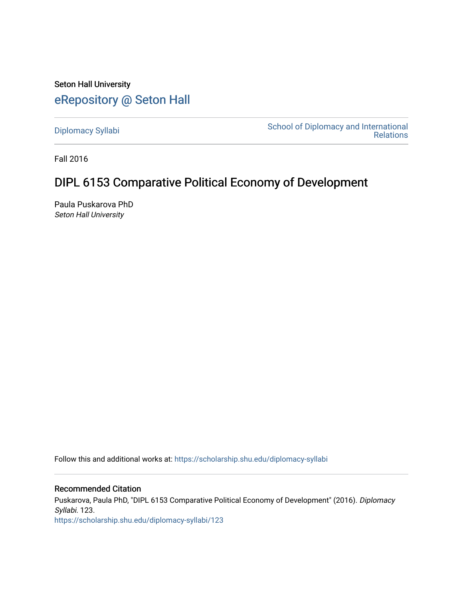Seton Hall University [eRepository @ Seton Hall](https://scholarship.shu.edu/)

[Diplomacy Syllabi](https://scholarship.shu.edu/diplomacy-syllabi) [School of Diplomacy and International](https://scholarship.shu.edu/diplomacy)  [Relations](https://scholarship.shu.edu/diplomacy) 

Fall 2016

# DIPL 6153 Comparative Political Economy of Development

Paula Puskarova PhD Seton Hall University

Follow this and additional works at: [https://scholarship.shu.edu/diplomacy-syllabi](https://scholarship.shu.edu/diplomacy-syllabi?utm_source=scholarship.shu.edu%2Fdiplomacy-syllabi%2F123&utm_medium=PDF&utm_campaign=PDFCoverPages) 

# Recommended Citation

Puskarova, Paula PhD, "DIPL 6153 Comparative Political Economy of Development" (2016). Diplomacy Syllabi. 123. [https://scholarship.shu.edu/diplomacy-syllabi/123](https://scholarship.shu.edu/diplomacy-syllabi/123?utm_source=scholarship.shu.edu%2Fdiplomacy-syllabi%2F123&utm_medium=PDF&utm_campaign=PDFCoverPages)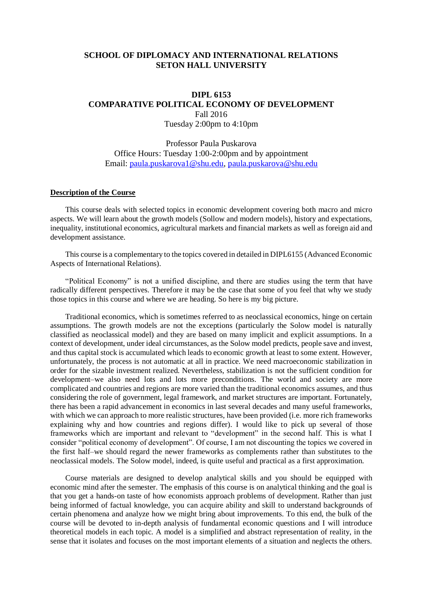# **SCHOOL OF DIPLOMACY AND INTERNATIONAL RELATIONS SETON HALL UNIVERSITY**

# **DIPL 6153 COMPARATIVE POLITICAL ECONOMY OF DEVELOPMENT** Fall 2016 Tuesday 2:00pm to 4:10pm

Professor Paula Puskarova Office Hours: Tuesday 1:00-2:00pm and by appointment Email: [paula.puskarova1@shu.edu,](mailto:paula.puskarova1@shu.edu) [paula.puskarova@shu.edu](mailto:paula.puskarova@shu.edu)

#### **Description of the Course**

This course deals with selected topics in economic development covering both macro and micro aspects. We will learn about the growth models (Sollow and modern models), history and expectations, inequality, institutional economics, agricultural markets and financial markets as well as foreign aid and development assistance.

This course is a complementary to the topics covered in detailed in DIPL6155 (Advanced Economic Aspects of International Relations).

"Political Economy" is not a unified discipline, and there are studies using the term that have radically different perspectives. Therefore it may be the case that some of you feel that why we study those topics in this course and where we are heading. So here is my big picture.

Traditional economics, which is sometimes referred to as neoclassical economics, hinge on certain assumptions. The growth models are not the exceptions (particularly the Solow model is naturally classified as neoclassical model) and they are based on many implicit and explicit assumptions. In a context of development, under ideal circumstances, as the Solow model predicts, people save and invest, and thus capital stock is accumulated which leads to economic growth at least to some extent. However, unfortunately, the process is not automatic at all in practice. We need macroeconomic stabilization in order for the sizable investment realized. Nevertheless, stabilization is not the sufficient condition for development–we also need lots and lots more preconditions. The world and society are more complicated and countries and regions are more varied than the traditional economics assumes, and thus considering the role of government, legal framework, and market structures are important. Fortunately, there has been a rapid advancement in economics in last several decades and many useful frameworks, with which we can approach to more realistic structures, have been provided (i.e. more rich frameworks explaining why and how countries and regions differ). I would like to pick up several of those frameworks which are important and relevant to "development" in the second half. This is what I consider "political economy of development". Of course, I am not discounting the topics we covered in the first half–we should regard the newer frameworks as complements rather than substitutes to the neoclassical models. The Solow model, indeed, is quite useful and practical as a first approximation.

Course materials are designed to develop analytical skills and you should be equipped with economic mind after the semester. The emphasis of this course is on analytical thinking and the goal is that you get a hands-on taste of how economists approach problems of development. Rather than just being informed of factual knowledge, you can acquire ability and skill to understand backgrounds of certain phenomena and analyze how we might bring about improvements. To this end, the bulk of the course will be devoted to in-depth analysis of fundamental economic questions and I will introduce theoretical models in each topic. A model is a simplified and abstract representation of reality, in the sense that it isolates and focuses on the most important elements of a situation and neglects the others.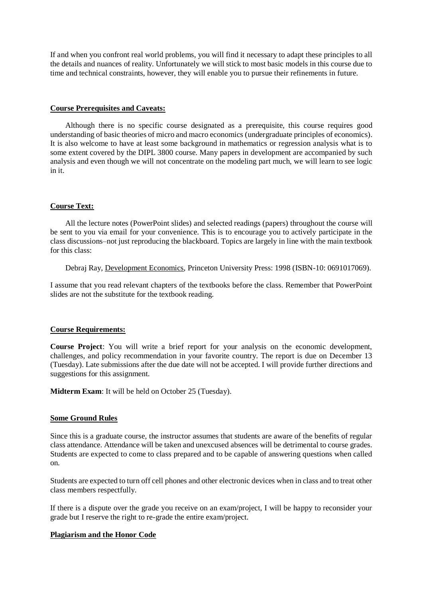If and when you confront real world problems, you will find it necessary to adapt these principles to all the details and nuances of reality. Unfortunately we will stick to most basic models in this course due to time and technical constraints, however, they will enable you to pursue their refinements in future.

#### **Course Prerequisites and Caveats:**

Although there is no specific course designated as a prerequisite, this course requires good understanding of basic theories of micro and macro economics (undergraduate principles of economics). It is also welcome to have at least some background in mathematics or regression analysis what is to some extent covered by the DIPL 3800 course. Many papers in development are accompanied by such analysis and even though we will not concentrate on the modeling part much, we will learn to see logic in it.

#### **Course Text:**

All the lecture notes (PowerPoint slides) and selected readings (papers) throughout the course will be sent to you via email for your convenience. This is to encourage you to actively participate in the class discussions–not just reproducing the blackboard. Topics are largely in line with the main textbook for this class:

Debraj Ray, Development Economics, Princeton University Press: 1998 (ISBN-10: 0691017069).

I assume that you read relevant chapters of the textbooks before the class. Remember that PowerPoint slides are not the substitute for the textbook reading.

# **Course Requirements:**

**Course Project**: You will write a brief report for your analysis on the economic development, challenges, and policy recommendation in your favorite country. The report is due on December 13 (Tuesday). Late submissions after the due date will not be accepted. I will provide further directions and suggestions for this assignment.

**Midterm Exam**: It will be held on October 25 (Tuesday).

#### **Some Ground Rules**

Since this is a graduate course, the instructor assumes that students are aware of the benefits of regular class attendance. Attendance will be taken and unexcused absences will be detrimental to course grades. Students are expected to come to class prepared and to be capable of answering questions when called on.

Students are expected to turn off cell phones and other electronic devices when in class and to treat other class members respectfully.

If there is a dispute over the grade you receive on an exam/project, I will be happy to reconsider your grade but I reserve the right to re-grade the entire exam/project.

#### **Plagiarism and the Honor Code**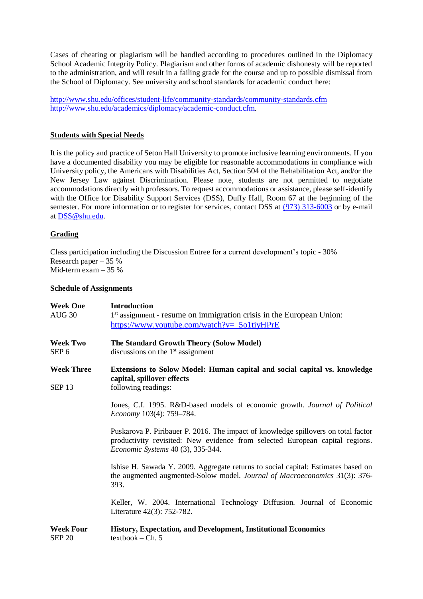Cases of cheating or plagiarism will be handled according to procedures outlined in the Diplomacy School Academic Integrity Policy. Plagiarism and other forms of academic dishonesty will be reported to the administration, and will result in a failing grade for the course and up to possible dismissal from the School of Diplomacy. See university and school standards for academic conduct here:

<http://www.shu.edu/offices/student-life/community-standards/community-standards.cfm> [http://www.shu.edu/academics/diplomacy/academic-conduct.cfm.](http://www.shu.edu/academics/diplomacy/academic-conduct.cfm)

### **Students with Special Needs**

It is the policy and practice of Seton Hall University to promote inclusive learning environments. If you have a documented disability you may be eligible for reasonable accommodations in compliance with University policy, the Americans with Disabilities Act, Section 504 of the Rehabilitation Act, and/or the New Jersey Law against Discrimination. Please note, students are not permitted to negotiate accommodations directly with professors. To request accommodations or assistance, please self-identify with the Office for Disability Support Services (DSS), Duffy Hall, Room 67 at the beginning of the semester. For more information or to register for services, contact DSS at [\(973\) 313-6003](tel:%28973%29%20313-6003) or by e-mail at [DSS@shu.edu.](mailto:DSS@shu.edu)

# **Grading**

Class participation including the Discussion Entree for a current development's topic - 30% Research paper –  $35\%$ Mid-term exam – 35 %

#### **Schedule of Assignments**

| <b>Week One</b><br><b>AUG 30</b>       | <b>Introduction</b><br>1 <sup>st</sup> assignment - resume on immigration crisis in the European Union:<br>https://www.youtube.com/watch?v=_5o1tiyHPrE                                                         |
|----------------------------------------|----------------------------------------------------------------------------------------------------------------------------------------------------------------------------------------------------------------|
| <b>Week Two</b><br>SEP <sub>6</sub>    | The Standard Growth Theory (Solow Model)<br>discussions on the $1st$ assignment                                                                                                                                |
| <b>Week Three</b><br>SEP <sub>13</sub> | <b>Extensions to Solow Model: Human capital and social capital vs. knowledge</b><br>capital, spillover effects<br>following readings:                                                                          |
|                                        | Jones, C.I. 1995. R&D-based models of economic growth. Journal of Political<br>Economy 103(4): 759-784.                                                                                                        |
|                                        | Puskarova P. Piribauer P. 2016. The impact of knowledge spillovers on total factor<br>productivity revisited: New evidence from selected European capital regions.<br><i>Economic Systems</i> 40 (3), 335-344. |
|                                        | Ishise H. Sawada Y. 2009. Aggregate returns to social capital: Estimates based on<br>the augmented augmented-Solow model. Journal of Macroeconomics 31(3): 376-<br>393.                                        |
|                                        | Keller, W. 2004. International Technology Diffusion. Journal of Economic<br>Literature 42(3): 752-782.                                                                                                         |
| <b>Week Four</b><br><b>SEP 20</b>      | History, Expectation, and Development, Institutional Economics<br>$textbook - Ch. 5$                                                                                                                           |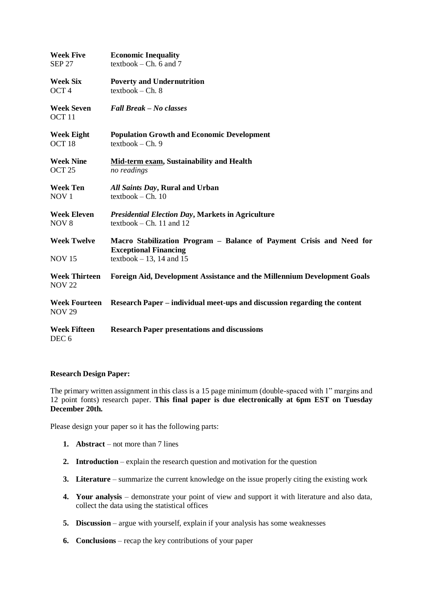| <b>Week Five</b>                        | <b>Economic Inequality</b>                                                                           |
|-----------------------------------------|------------------------------------------------------------------------------------------------------|
| <b>SEP 27</b>                           | $textbook - Ch. 6 and 7$                                                                             |
| <b>Week Six</b>                         | <b>Poverty and Undernutrition</b>                                                                    |
| OCT <sub>4</sub>                        | $textbook - Ch. 8$                                                                                   |
| <b>Week Seven</b><br>OCT <sub>11</sub>  | <b>Fall Break – No classes</b>                                                                       |
| <b>Week Eight</b>                       | <b>Population Growth and Economic Development</b>                                                    |
| OCT <sub>18</sub>                       | $textbook - Ch. 9$                                                                                   |
| <b>Week Nine</b>                        | Mid-term exam, Sustainability and Health                                                             |
| OCT <sub>25</sub>                       | no readings                                                                                          |
| <b>Week Ten</b>                         | All Saints Day, Rural and Urban                                                                      |
| NOV <sub>1</sub>                        | $textbook - Ch. 10$                                                                                  |
| <b>Week Eleven</b>                      | <b>Presidential Election Day, Markets in Agriculture</b>                                             |
| NOV <sub>8</sub>                        | textbook – Ch. 11 and $12$                                                                           |
| <b>Week Twelve</b>                      | Macro Stabilization Program – Balance of Payment Crisis and Need for<br><b>Exceptional Financing</b> |
| <b>NOV 15</b>                           | textbook $-13$ , 14 and 15                                                                           |
| <b>Week Thirteen</b><br><b>NOV 22</b>   | <b>Foreign Aid, Development Assistance and the Millennium Development Goals</b>                      |
| <b>Week Fourteen</b><br><b>NOV 29</b>   | Research Paper – individual meet-ups and discussion regarding the content                            |
| <b>Week Fifteen</b><br>DEC <sub>6</sub> | <b>Research Paper presentations and discussions</b>                                                  |

# **Research Design Paper:**

The primary written assignment in this class is a 15 page minimum (double-spaced with 1" margins and 12 point fonts) research paper. **This final paper is due electronically at 6pm EST on Tuesday December 20th.** 

Please design your paper so it has the following parts:

- **1. Abstract** not more than 7 lines
- **2. Introduction**  explain the research question and motivation for the question
- **3. Literature**  summarize the current knowledge on the issue properly citing the existing work
- **4. Your analysis**  demonstrate your point of view and support it with literature and also data, collect the data using the statistical offices
- **5. Discussion** argue with yourself, explain if your analysis has some weaknesses
- **6. Conclusions**  recap the key contributions of your paper